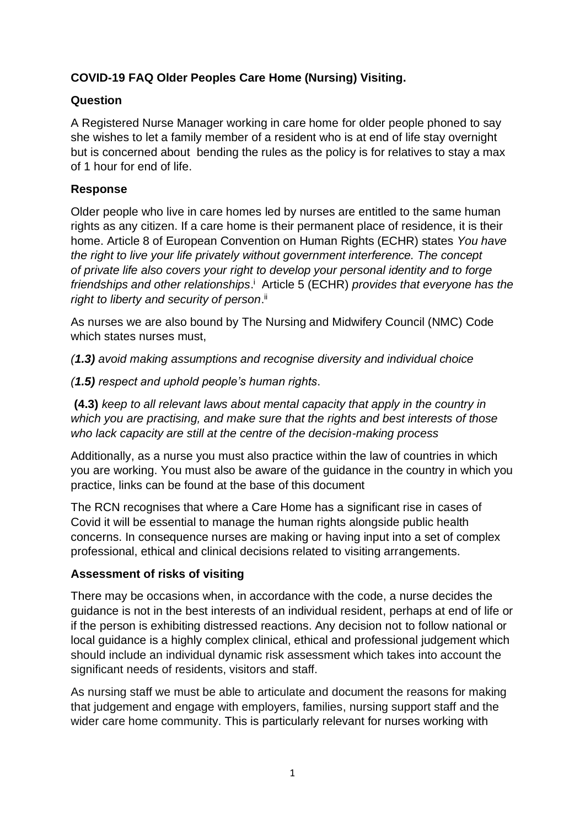# **COVID-19 FAQ Older Peoples Care Home (Nursing) Visiting.**

# **Question**

A Registered Nurse Manager working in care home for older people phoned to say she wishes to let a family member of a resident who is at end of life stay overnight but is concerned about bending the rules as the policy is for relatives to stay a max of 1 hour for end of life.

# **Response**

Older people who live in care homes led by nurses are entitled to the same human rights as any citizen. If a care home is their permanent place of residence, it is their home. Article 8 of European Convention on Human Rights (ECHR) states *You have the right to live your life privately without government interference. The concept of private life also covers your right to develop your personal identity and to forge*  friendships and other relationships.<sup>i</sup> Article 5 (ECHR) *provides that everyone has the* right to liberty and security of person.<sup>ii</sup>

As nurses we are also bound by The Nursing and Midwifery Council (NMC) Code which states nurses must.

*(1.3) avoid making assumptions and recognise diversity and individual choice*

*(1.5) respect and uphold people's human rights*.

**(4.3)** *keep to all relevant laws about mental capacity that apply in the country in which you are practising, and make sure that the rights and best interests of those who lack capacity are still at the centre of the decision-making process*

Additionally, as a nurse you must also practice within the law of countries in which you are working. You must also be aware of the guidance in the country in which you practice, links can be found at the base of this document

The RCN recognises that where a Care Home has a significant rise in cases of Covid it will be essential to manage the human rights alongside public health concerns. In consequence nurses are making or having input into a set of complex professional, ethical and clinical decisions related to visiting arrangements.

## **Assessment of risks of visiting**

There may be occasions when, in accordance with the code, a nurse decides the guidance is not in the best interests of an individual resident, perhaps at end of life or if the person is exhibiting distressed reactions. Any decision not to follow national or local guidance is a highly complex clinical, ethical and professional judgement which should include an individual dynamic risk assessment which takes into account the significant needs of residents, visitors and staff.

As nursing staff we must be able to articulate and document the reasons for making that judgement and engage with employers, families, nursing support staff and the wider care home community. This is particularly relevant for nurses working with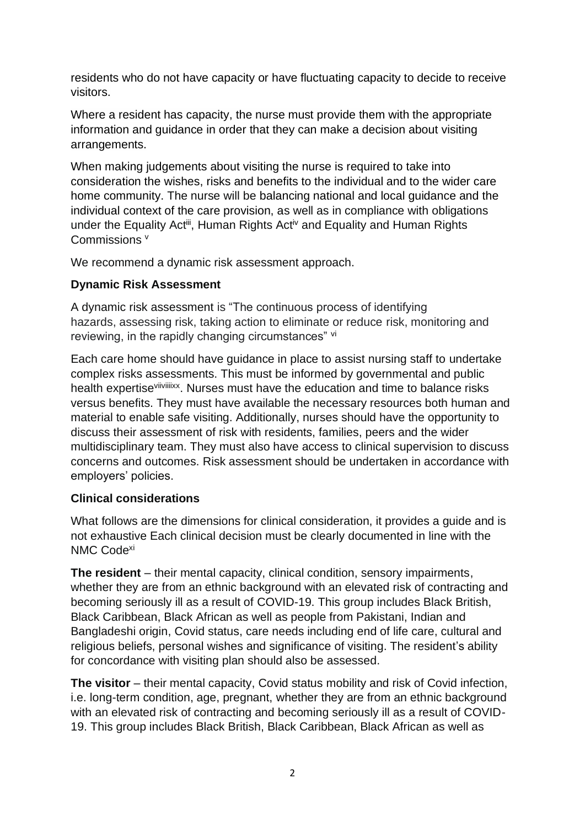residents who do not have capacity or have fluctuating capacity to decide to receive visitors.

Where a resident has capacity, the nurse must provide them with the appropriate information and guidance in order that they can make a decision about visiting arrangements.

When making judgements about visiting the nurse is required to take into consideration the wishes, risks and benefits to the individual and to the wider care home community. The nurse will be balancing national and local guidance and the individual context of the care provision, as well as in compliance with obligations under the Equality Act<sup>iii</sup>, Human Rights Act<sup>iv</sup> and Equality and Human Rights Commissions<sup>v</sup>

We recommend a dynamic risk assessment approach.

## **Dynamic Risk Assessment**

A dynamic risk assessment is "The continuous process of identifying hazards, assessing risk, taking action to eliminate or reduce risk, monitoring and reviewing, in the rapidly changing circumstances" vi

Each care home should have guidance in place to assist nursing staff to undertake complex risks assessments. This must be informed by governmental and public health expertise<sup>viiviiiixx</sup>. Nurses must have the education and time to balance risks versus benefits. They must have available the necessary resources both human and material to enable safe visiting. Additionally, nurses should have the opportunity to discuss their assessment of risk with residents, families, peers and the wider multidisciplinary team. They must also have access to clinical supervision to discuss concerns and outcomes. Risk assessment should be undertaken in accordance with employers' policies.

## **Clinical considerations**

What follows are the dimensions for clinical consideration, it provides a guide and is not exhaustive Each clinical decision must be clearly documented in line with the NMC Code<sup>xi</sup>

**The resident** – their mental capacity, clinical condition, sensory impairments, whether they are from an ethnic background with an elevated risk of contracting and becoming seriously ill as a result of COVID-19. This group includes Black British, Black Caribbean, Black African as well as people from Pakistani, Indian and Bangladeshi origin, Covid status, care needs including end of life care, cultural and religious beliefs, personal wishes and significance of visiting. The resident's ability for concordance with visiting plan should also be assessed.

**The visitor** – their mental capacity, Covid status mobility and risk of Covid infection, i.e. long-term condition, age, pregnant, whether they are from an ethnic background with an elevated risk of contracting and becoming seriously ill as a result of COVID-19. This group includes Black British, Black Caribbean, Black African as well as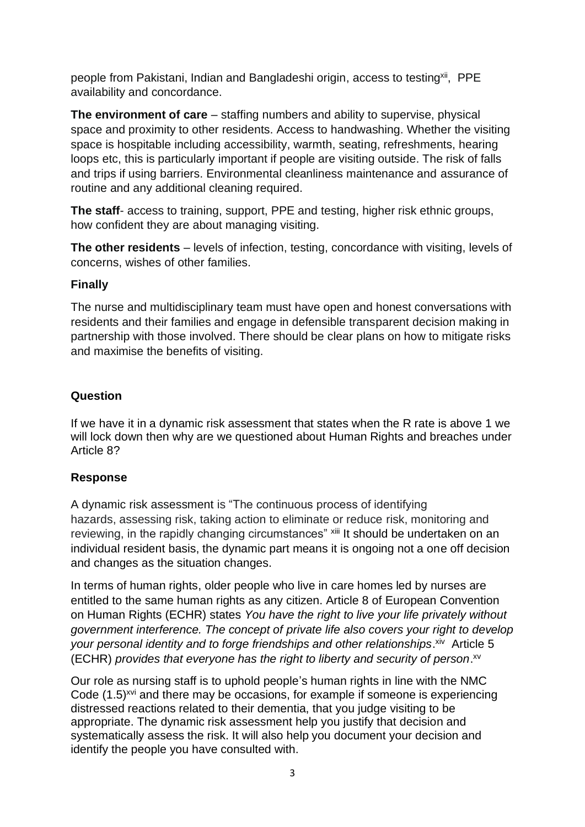people from Pakistani, Indian and Bangladeshi origin, access to testing<sup>xii</sup>, PPE availability and concordance.

**The environment of care** – staffing numbers and ability to supervise, physical space and proximity to other residents. Access to handwashing. Whether the visiting space is hospitable including accessibility, warmth, seating, refreshments, hearing loops etc, this is particularly important if people are visiting outside. The risk of falls and trips if using barriers. Environmental cleanliness maintenance and assurance of routine and any additional cleaning required.

**The staff-** access to training, support, PPE and testing, higher risk ethnic groups, how confident they are about managing visiting.

**The other residents** – levels of infection, testing, concordance with visiting, levels of concerns, wishes of other families.

## **Finally**

The nurse and multidisciplinary team must have open and honest conversations with residents and their families and engage in defensible transparent decision making in partnership with those involved. There should be clear plans on how to mitigate risks and maximise the benefits of visiting.

# **Question**

If we have it in a dynamic risk assessment that states when the R rate is above 1 we will lock down then why are we questioned about Human Rights and breaches under Article 8?

# **Response**

A dynamic risk assessment is "The continuous process of identifying hazards, assessing risk, taking action to eliminate or reduce risk, monitoring and reviewing, in the rapidly changing circumstances" xiii It should be undertaken on an individual resident basis, the dynamic part means it is ongoing not a one off decision and changes as the situation changes.

In terms of human rights, older people who live in care homes led by nurses are entitled to the same human rights as any citizen. Article 8 of European Convention on Human Rights (ECHR) states *You have the right to live your life privately without government interference. The concept of private life also covers your right to develop*  your personal identity and to forge friendships and other relationships.<sup>xiv</sup> Article 5 (ECHR) *provides that everyone has the right to liberty and security of person*. xv

Our role as nursing staff is to uphold people's human rights in line with the NMC Code (1.5)<sup>xvi</sup> and there may be occasions, for example if someone is experiencing distressed reactions related to their dementia, that you judge visiting to be appropriate. The dynamic risk assessment help you justify that decision and systematically assess the risk. It will also help you document your decision and identify the people you have consulted with.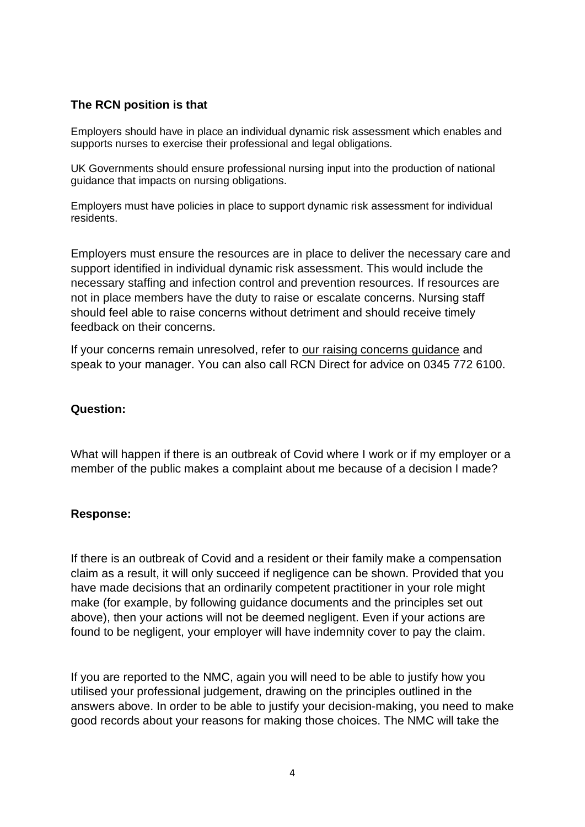## **The RCN position is that**

Employers should have in place an individual dynamic risk assessment which enables and supports nurses to exercise their professional and legal obligations.

UK Governments should ensure professional nursing input into the production of national guidance that impacts on nursing obligations.

Employers must have policies in place to support dynamic risk assessment for individual residents.

Employers must ensure the resources are in place to deliver the necessary care and support identified in individual dynamic risk assessment. This would include the necessary staffing and infection control and prevention resources. If resources are not in place members have the duty to raise or escalate concerns. Nursing staff should feel able to raise concerns without detriment and should receive timely feedback on their concerns.

If your concerns remain unresolved, refer to [our raising concerns guidance](https://www.rcn.org.uk/employment-and-pay/raising-concerns/guidance-for-rcn-members) and speak to your manager. You can also call RCN Direct for advice on 0345 772 6100.

### **Question:**

What will happen if there is an outbreak of Covid where I work or if my employer or a member of the public makes a complaint about me because of a decision I made?

### **Response:**

If there is an outbreak of Covid and a resident or their family make a compensation claim as a result, it will only succeed if negligence can be shown. Provided that you have made decisions that an ordinarily competent practitioner in your role might make (for example, by following guidance documents and the principles set out above), then your actions will not be deemed negligent. Even if your actions are found to be negligent, your employer will have indemnity cover to pay the claim.

If you are reported to the NMC, again you will need to be able to justify how you utilised your professional judgement, drawing on the principles outlined in the answers above. In order to be able to justify your decision-making, you need to make good records about your reasons for making those choices. The NMC will take the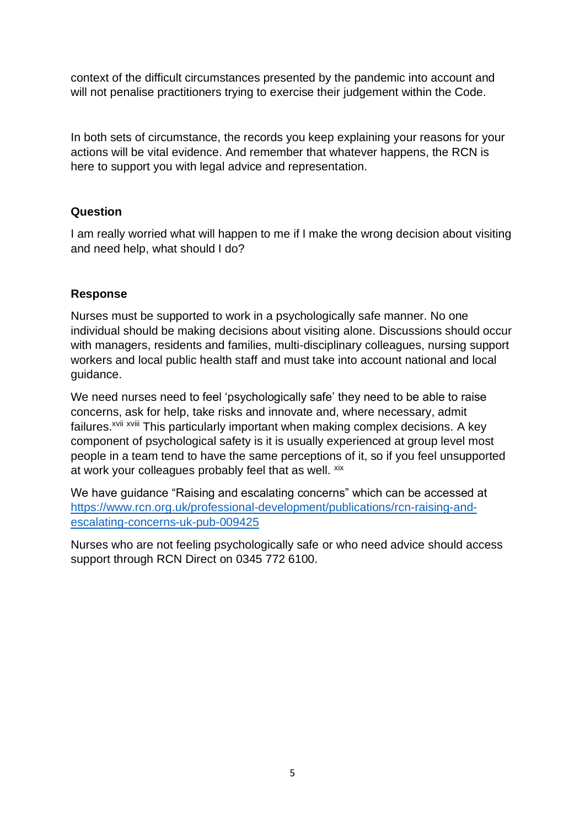context of the difficult circumstances presented by the pandemic into account and will not penalise practitioners trying to exercise their judgement within the Code.

In both sets of circumstance, the records you keep explaining your reasons for your actions will be vital evidence. And remember that whatever happens, the RCN is here to support you with legal advice and representation.

## **Question**

I am really worried what will happen to me if I make the wrong decision about visiting and need help, what should I do?

## **Response**

Nurses must be supported to work in a psychologically safe manner. No one individual should be making decisions about visiting alone. Discussions should occur with managers, residents and families, multi-disciplinary colleagues, nursing support workers and local public health staff and must take into account national and local guidance.

We need nurses need to feel 'psychologically safe' they need to be able to raise concerns, ask for help, take risks and innovate and, where necessary, admit failures.<sup>xvii</sup> xviii This particularly important when making complex decisions. A key component of psychological safety is it is usually experienced at group level most people in a team tend to have the same perceptions of it, so if you feel unsupported at work your colleagues probably feel that as well. xix

We have guidance "Raising and escalating concerns" which can be accessed at [https://www.rcn.org.uk/professional-development/publications/rcn-raising-and](https://www.rcn.org.uk/professional-development/publications/rcn-raising-and-escalating-concerns-uk-pub-009425)[escalating-concerns-uk-pub-009425](https://www.rcn.org.uk/professional-development/publications/rcn-raising-and-escalating-concerns-uk-pub-009425)

Nurses who are not feeling psychologically safe or who need advice should access support through RCN Direct on 0345 772 6100.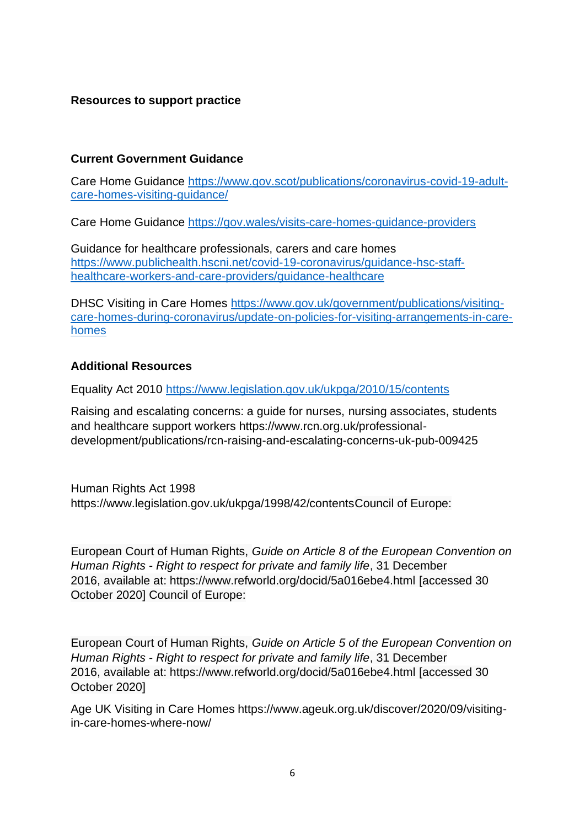### **Resources to support practice**

#### **Current Government Guidance**

Care Home Guidance [https://www.gov.scot/publications/coronavirus-covid-19-adult](https://www.gov.scot/publications/coronavirus-covid-19-adult-care-homes-visiting-guidance/)[care-homes-visiting-guidance/](https://www.gov.scot/publications/coronavirus-covid-19-adult-care-homes-visiting-guidance/)

Care Home Guidance<https://gov.wales/visits-care-homes-guidance-providers>

Guidance for healthcare professionals, carers and care homes [https://www.publichealth.hscni.net/covid-19-coronavirus/guidance-hsc-staff](https://www.publichealth.hscni.net/covid-19-coronavirus/guidance-hsc-staff-healthcare-workers-and-care-providers/guidance-healthcare)[healthcare-workers-and-care-providers/guidance-healthcare](https://www.publichealth.hscni.net/covid-19-coronavirus/guidance-hsc-staff-healthcare-workers-and-care-providers/guidance-healthcare)

DHSC Visiting in Care Homes [https://www.gov.uk/government/publications/visiting](https://www.gov.uk/government/publications/visiting-care-homes-during-coronavirus/update-on-policies-for-visiting-arrangements-in-care-homes)[care-homes-during-coronavirus/update-on-policies-for-visiting-arrangements-in-care](https://www.gov.uk/government/publications/visiting-care-homes-during-coronavirus/update-on-policies-for-visiting-arrangements-in-care-homes)[homes](https://www.gov.uk/government/publications/visiting-care-homes-during-coronavirus/update-on-policies-for-visiting-arrangements-in-care-homes)

### **Additional Resources**

Equality Act 2010<https://www.legislation.gov.uk/ukpga/2010/15/contents>

Raising and escalating concerns: a guide for nurses, nursing associates, students and healthcare support workers https://www.rcn.org.uk/professionaldevelopment/publications/rcn-raising-and-escalating-concerns-uk-pub-009425

Human Rights Act 1998 https://www.legislation.gov.uk/ukpga/1998/42/contentsCouncil of Europe:

European Court of Human Rights, *Guide on Article 8 of the European Convention on Human Rights - Right to respect for private and family life*, 31 December 2016, available at: https://www.refworld.org/docid/5a016ebe4.html [accessed 30 October 2020] Council of Europe:

European Court of Human Rights, *Guide on Article 5 of the European Convention on Human Rights - Right to respect for private and family life*, 31 December 2016, available at: https://www.refworld.org/docid/5a016ebe4.html [accessed 30 October 2020]

Age UK Visiting in Care Homes https://www.ageuk.org.uk/discover/2020/09/visitingin-care-homes-where-now/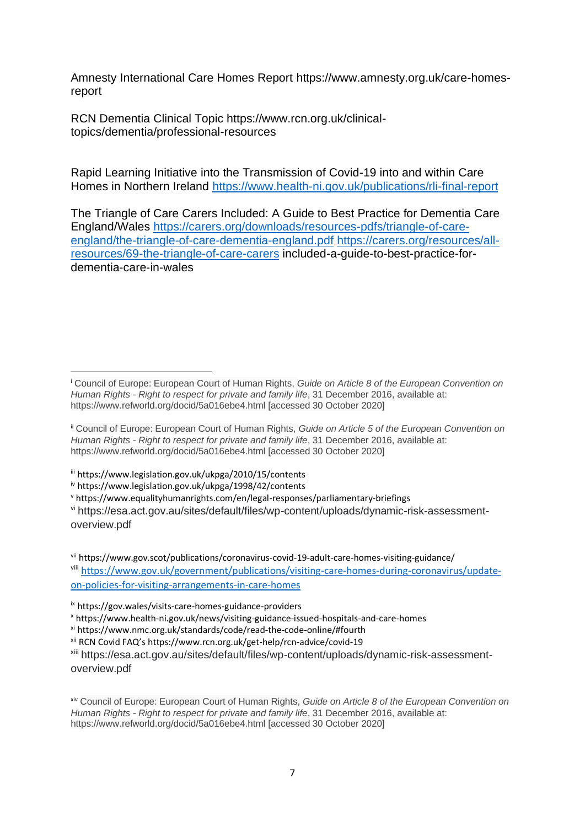Amnesty International Care Homes Report https://www.amnesty.org.uk/care-homesreport

RCN Dementia Clinical Topic https://www.rcn.org.uk/clinicaltopics/dementia/professional-resources

Rapid Learning Initiative into the Transmission of Covid-19 into and within Care Homes in Northern Ireland <https://www.health-ni.gov.uk/publications/rli-final-report>

The Triangle of Care Carers Included: A Guide to Best Practice for Dementia Care England/Wales [https://carers.org/downloads/resources-pdfs/triangle-of-care](https://carers.org/downloads/resources-pdfs/triangle-of-care-england/the-triangle-of-care-dementia-england.pdf)[england/the-triangle-of-care-dementia-england.pdf](https://carers.org/downloads/resources-pdfs/triangle-of-care-england/the-triangle-of-care-dementia-england.pdf) [https://carers.org/resources/all](https://carers.org/resources/all-resources/69-the-triangle-of-care-carers)[resources/69-the-triangle-of-care-carers](https://carers.org/resources/all-resources/69-the-triangle-of-care-carers) included-a-guide-to-best-practice-fordementia-care-in-wales

iii https://www.legislation.gov.uk/ukpga/2010/15/contents

<sup>v</sup> https://www.equalityhumanrights.com/en/legal-responses/parliamentary-briefings

vi https://esa.act.gov.au/sites/default/files/wp-content/uploads/dynamic-risk-assessmentoverview.pdf

vii https://www.gov.scot/publications/coronavirus-covid-19-adult-care-homes-visiting-guidance/ viii [https://www.gov.uk/government/publications/visiting-care-homes-during-coronavirus/update](https://www.gov.uk/government/publications/visiting-care-homes-during-coronavirus/update-on-policies-for-visiting-arrangements-in-care-homes)[on-policies-for-visiting-arrangements-in-care-homes](https://www.gov.uk/government/publications/visiting-care-homes-during-coronavirus/update-on-policies-for-visiting-arrangements-in-care-homes)

xii RCN Covid FAQ's https://www.rcn.org.uk/get-help/rcn-advice/covid-19

xiii https://esa.act.gov.au/sites/default/files/wp-content/uploads/dynamic-risk-assessmentoverview.pdf

xiv Council of Europe: European Court of Human Rights, *Guide on Article 8 of the European Convention on Human Rights - Right to respect for private and family life*, 31 December 2016, available at: https://www.refworld.org/docid/5a016ebe4.html [accessed 30 October 2020]

<sup>i</sup> Council of Europe: European Court of Human Rights, *Guide on Article 8 of the European Convention on Human Rights - Right to respect for private and family life*, 31 December 2016, available at: https://www.refworld.org/docid/5a016ebe4.html [accessed 30 October 2020]

ii Council of Europe: European Court of Human Rights, *Guide on Article 5 of the European Convention on Human Rights - Right to respect for private and family life*, 31 December 2016, available at: https://www.refworld.org/docid/5a016ebe4.html [accessed 30 October 2020]

iv https://www.legislation.gov.uk/ukpga/1998/42/contents

ix https://gov.wales/visits-care-homes-guidance-providers

<sup>x</sup> https://www.health-ni.gov.uk/news/visiting-guidance-issued-hospitals-and-care-homes

xi https://www.nmc.org.uk/standards/code/read-the-code-online/#fourth